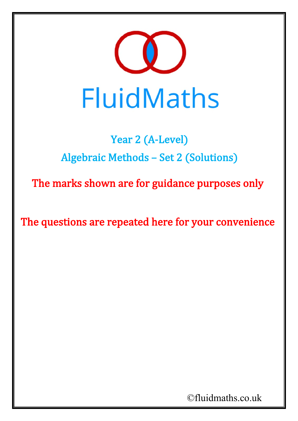

## Year 2 (A-Level) Algebraic Methods – Set 2 (Solutions)

The marks shown are for guidance purposes only

The questions are repeated here for your convenience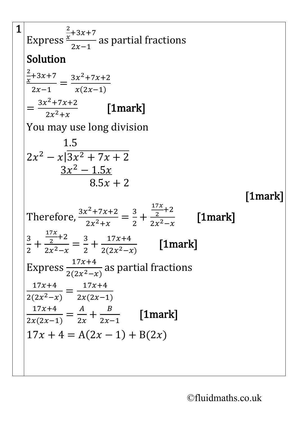$$
\frac{1}{\text{Express } \frac{x}{x} + 3x + 7}{\frac{x^2}{2x-1}} \text{ as partial fractions}
$$
\nSolution\n
$$
\frac{2}{x+3x+7} = \frac{3x^2+7x+2}{x(2x-1)}
$$
\n
$$
= \frac{3x^2+7x+2}{2x^2+x}
$$
\n[1mark]\nYou may use long division\n
$$
1.5
$$
\n
$$
2x^2 - x\left|\frac{3x^2 + 7x + 2}{3x^2 - 1.5x}\right.
$$
\n
$$
8.5x + 2
$$
\n[1mark]\nTherefore,  $\frac{3x^2+7x+2}{2x^2+x} = \frac{3}{2} + \frac{\frac{17x}{2}+2}{2x^2-x}$  [1mark]\n
$$
\frac{3}{2} + \frac{\frac{17x}{2}+2}{2x^2-x} = \frac{3}{2} + \frac{17x+4}{2(2x^2-x)}
$$
\n[1mark]\nExpress  $\frac{17x+4}{2(2x^2-x)} = \frac{17x+4}{2x(2x-1)}$  as partial fractions\n
$$
\frac{17x+4}{2(x^2-x)} = \frac{17x+4}{2x(2x-1)}
$$
\n
$$
\frac{17x+4}{2x(2x-1)} = \frac{4}{2x} + \frac{8}{2x-1}
$$
\n[1mark]\n
$$
17x + 4 = A(2x - 1) + B(2x)
$$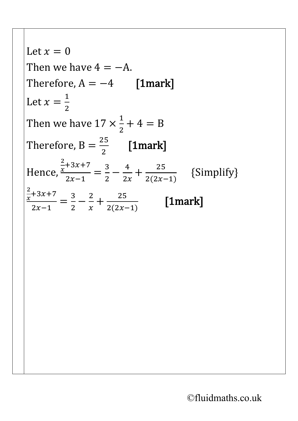Let  $x = 0$ Then we have  $4 = -A$ . Therefore,  $A = -4$  [1mark] Let  $x =$  $\frac{1}{1}$ 2 Then we have  $17 \times$  $\overline{\mathsf{I}}$ 2  $+ 4 = B$ Therefore,  $B =$ 25  $\frac{1}{2}$  [1mark] Hence, 2  $\frac{x+3x+7}{x}$  $2x-1$ =  $\frac{3}{2} - \frac{4}{2x}$  $+\frac{25}{2(2x-1)}$  $2(2x-1)$  {Simplify} 2  $\frac{x+3x+7}{x}$  $2x-1$ =  $rac{3}{2} - \frac{2}{x}$  $+\frac{25}{2(2x-1)}$  $\frac{1}{2(2x-1)}$  [1mark]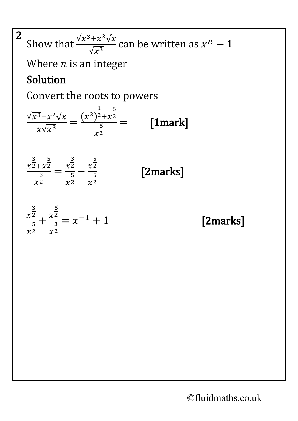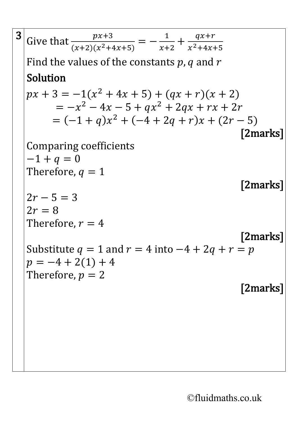| Solution           |                                                                                                                                                                                                                                                                                                                                                                                                      |
|--------------------|------------------------------------------------------------------------------------------------------------------------------------------------------------------------------------------------------------------------------------------------------------------------------------------------------------------------------------------------------------------------------------------------------|
|                    |                                                                                                                                                                                                                                                                                                                                                                                                      |
|                    |                                                                                                                                                                                                                                                                                                                                                                                                      |
|                    |                                                                                                                                                                                                                                                                                                                                                                                                      |
|                    | [2marks]                                                                                                                                                                                                                                                                                                                                                                                             |
|                    |                                                                                                                                                                                                                                                                                                                                                                                                      |
| $-1 + q = 0$       |                                                                                                                                                                                                                                                                                                                                                                                                      |
| Therefore, $q = 1$ |                                                                                                                                                                                                                                                                                                                                                                                                      |
|                    | [2marks]                                                                                                                                                                                                                                                                                                                                                                                             |
| $2r - 5 = 3$       |                                                                                                                                                                                                                                                                                                                                                                                                      |
| $2r=8$             |                                                                                                                                                                                                                                                                                                                                                                                                      |
| Therefore, $r=4$   |                                                                                                                                                                                                                                                                                                                                                                                                      |
|                    | [2marks]                                                                                                                                                                                                                                                                                                                                                                                             |
|                    |                                                                                                                                                                                                                                                                                                                                                                                                      |
|                    |                                                                                                                                                                                                                                                                                                                                                                                                      |
|                    |                                                                                                                                                                                                                                                                                                                                                                                                      |
|                    | [2marks]                                                                                                                                                                                                                                                                                                                                                                                             |
|                    |                                                                                                                                                                                                                                                                                                                                                                                                      |
|                    |                                                                                                                                                                                                                                                                                                                                                                                                      |
|                    |                                                                                                                                                                                                                                                                                                                                                                                                      |
|                    |                                                                                                                                                                                                                                                                                                                                                                                                      |
|                    |                                                                                                                                                                                                                                                                                                                                                                                                      |
|                    |                                                                                                                                                                                                                                                                                                                                                                                                      |
|                    | Give that $\frac{px+3}{(x+2)(x^2+4x+5)} = -\frac{1}{x+2} + \frac{qx+r}{x^2+4x+5}$<br>Find the values of the constants $p$ , q and r<br>$px + 3 = -1(x^2 + 4x + 5) + (qx + r)(x + 2)$<br>$=-x^2-4x-5+qx^2+2qx+rx+2r$<br>$= (-1 + q)x^{2} + (-4 + 2q + r)x + (2r - 5)$<br>Comparing coefficients<br>Substitute $q = 1$ and $r = 4$ into $-4 + 2q + r = p$<br>$p = -4 + 2(1) + 4$<br>Therefore, $p = 2$ |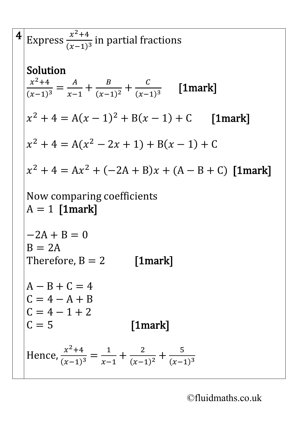4 Express 
$$
\frac{x^2+4}{(x-1)^3}
$$
 in partial fractions  
\nSolution  
\n
$$
\frac{x^2+4}{(x-1)^3} = \frac{A}{x-1} + \frac{B}{(x-1)^2} + \frac{C}{(x-1)^3}
$$
 [1mark]  
\n $x^2 + 4 = A(x-1)^2 + B(x-1) + C$  [1mark]  
\n $x^2 + 4 = A(x^2 - 2x + 1) + B(x - 1) + C$   
\n $x^2 + 4 = Ax^2 + (-2A + B)x + (A - B + C)$  [1mark]  
\nNow comparing coefficients  
\nA = 1 [1mark]  
\n-2A + B = 0  
\nB = 2A  
\nTherefore, B = 2 [1mark]  
\nA - B + C = 4  
\nC = 4 - A + B  
\nC = 4 - 1 + 2  
\nC = 5 [1mark]  
\nHence,  $\frac{x^2+4}{(x-1)^3} = \frac{1}{x-1} + \frac{2}{(x-1)^2} + \frac{5}{(x-1)^3}$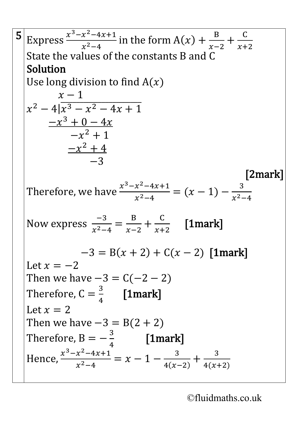5 Express 
$$
\frac{x^3 - x^2 - 4x + 1}{x^2 - 4}
$$
 in the form  $A(x) + \frac{B}{x - 2} + \frac{C}{x + 2}$   
\nState the values of the constants B and C  
\nSolution  
\nUse long division to find  $A(x)$   
\n $x - 1$   
\n $x^2 - 4\left(x^3 - x^2 - 4x + 1\right)$   
\n $-x^3 + 0 - 4x$   
\n $-x^2 + 1$   
\n $-x^2 + 4$   
\n $-3$   
\nTherefore, we have  $\frac{x^3 - x^2 - 4x + 1}{x^2 - 4} = (x - 1) - \frac{3}{x^2 - 4}$   
\nNow express  $\frac{-3}{x^2 - 4} = \frac{B}{x - 2} + \frac{C}{x + 2}$  [1mark]  
\n $-3 = B(x + 2) + C(x - 2)$  [1mark]  
\nLet  $x = -2$   
\nThen we have  $-3 = C(-2 - 2)$   
\nTherefore,  $C = \frac{3}{4}$  [1mark]  
\nLet  $x = 2$   
\nThen we have  $-3 = B(2 + 2)$   
\nTherefore,  $B = -\frac{3}{4}$  [1mark]  
\nHence,  $\frac{x^3 - x^2 - 4x + 1}{x^2 - 4} = x - 1 - \frac{3}{4(x - 2)} + \frac{3}{4(x + 2)}$